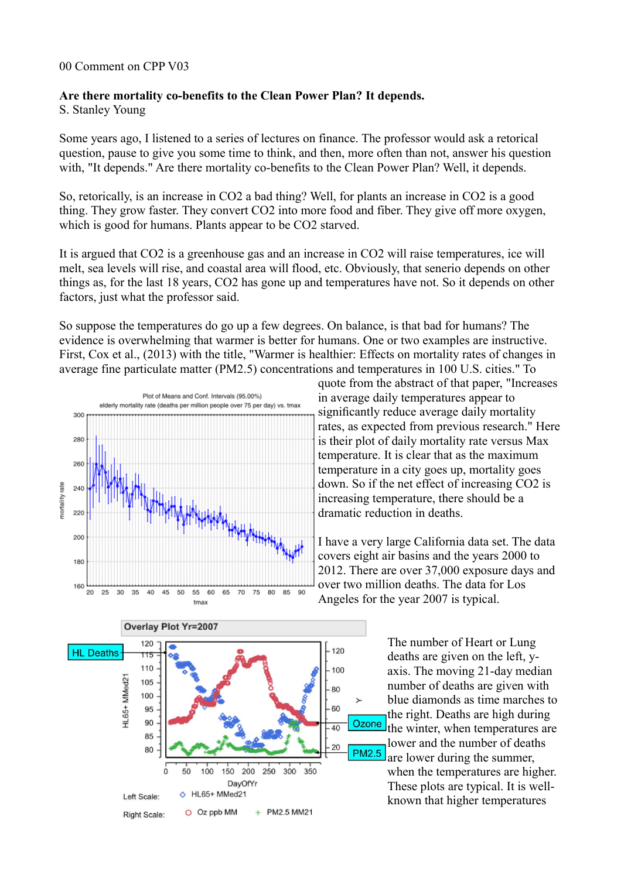### 00 Comment on CPP V03

### **Are there mortality co-benefits to the Clean Power Plan? It depends.**

S. Stanley Young

Some years ago, I listened to a series of lectures on finance. The professor would ask a retorical question, pause to give you some time to think, and then, more often than not, answer his question with, "It depends." Are there mortality co-benefits to the Clean Power Plan? Well, it depends.

So, retorically, is an increase in CO2 a bad thing? Well, for plants an increase in CO2 is a good thing. They grow faster. They convert CO2 into more food and fiber. They give off more oxygen, which is good for humans. Plants appear to be CO2 starved.

It is argued that CO2 is a greenhouse gas and an increase in CO2 will raise temperatures, ice will melt, sea levels will rise, and coastal area will flood, etc. Obviously, that senerio depends on other things as, for the last 18 years, CO2 has gone up and temperatures have not. So it depends on other factors, just what the professor said.

So suppose the temperatures do go up a few degrees. On balance, is that bad for humans? The evidence is overwhelming that warmer is better for humans. One or two examples are instructive. First, Cox et al., (2013) with the title, "Warmer is healthier: Effects on mortality rates of changes in average fine particulate matter (PM2.5) concentrations and temperatures in 100 U.S. cities." To





I have a very large California data set. The data covers eight air basins and the years 2000 to 2012. There are over 37,000 exposure days and over two million deaths. The data for Los Angeles for the year 2007 is typical.



The number of Heart or Lung deaths are given on the left, yaxis. The moving 21-day median number of deaths are given with blue diamonds as time marches to the right. Deaths are high during the winter, when temperatures are lower and the number of deaths are lower during the summer, when the temperatures are higher. These plots are typical. It is wellknown that higher temperatures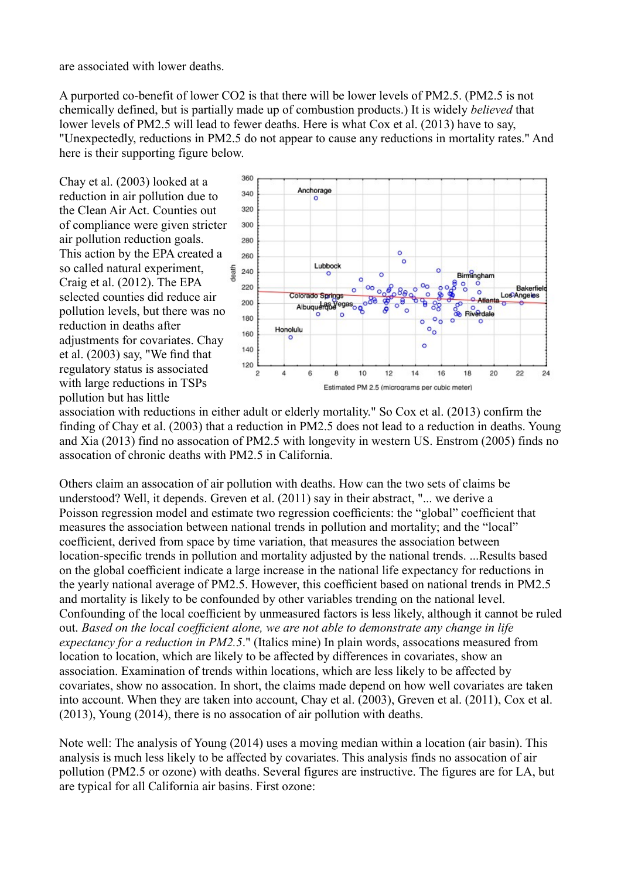are associated with lower deaths.

A purported co-benefit of lower CO2 is that there will be lower levels of PM2.5. (PM2.5 is not chemically defined, but is partially made up of combustion products.) It is widely *believed* that lower levels of PM2.5 will lead to fewer deaths. Here is what Cox et al. (2013) have to say, "Unexpectedly, reductions in PM2.5 do not appear to cause any reductions in mortality rates." And here is their supporting figure below.

Chay et al. (2003) looked at a reduction in air pollution due to the Clean Air Act. Counties out of compliance were given stricter air pollution reduction goals. This action by the EPA created a so called natural experiment, Craig et al. (2012). The EPA selected counties did reduce air pollution levels, but there was no reduction in deaths after adjustments for covariates. Chay et al. (2003) say, "We find that regulatory status is associated with large reductions in TSPs pollution but has little



association with reductions in either adult or elderly mortality." So Cox et al. (2013) confirm the finding of Chay et al. (2003) that a reduction in PM2.5 does not lead to a reduction in deaths. Young and Xia (2013) find no assocation of PM2.5 with longevity in western US. Enstrom (2005) finds no assocation of chronic deaths with PM2.5 in California.

Others claim an assocation of air pollution with deaths. How can the two sets of claims be understood? Well, it depends. Greven et al. (2011) say in their abstract, "... we derive a Poisson regression model and estimate two regression coefficients: the "global" coefficient that measures the association between national trends in pollution and mortality; and the "local" coefficient, derived from space by time variation, that measures the association between location-specific trends in pollution and mortality adjusted by the national trends. ...Results based on the global coefficient indicate a large increase in the national life expectancy for reductions in the yearly national average of PM2.5. However, this coefficient based on national trends in PM2.5 and mortality is likely to be confounded by other variables trending on the national level. Confounding of the local coefficient by unmeasured factors is less likely, although it cannot be ruled out. *Based on the local coefficient alone, we are not able to demonstrate any change in life expectancy for a reduction in PM2.5*." (Italics mine) In plain words, assocations measured from location to location, which are likely to be affected by differences in covariates, show an association. Examination of trends within locations, which are less likely to be affected by covariates, show no assocation. In short, the claims made depend on how well covariates are taken into account. When they are taken into account, Chay et al. (2003), Greven et al. (2011), Cox et al. (2013), Young (2014), there is no assocation of air pollution with deaths.

Note well: The analysis of Young (2014) uses a moving median within a location (air basin). This analysis is much less likely to be affected by covariates. This analysis finds no assocation of air pollution (PM2.5 or ozone) with deaths. Several figures are instructive. The figures are for LA, but are typical for all California air basins. First ozone: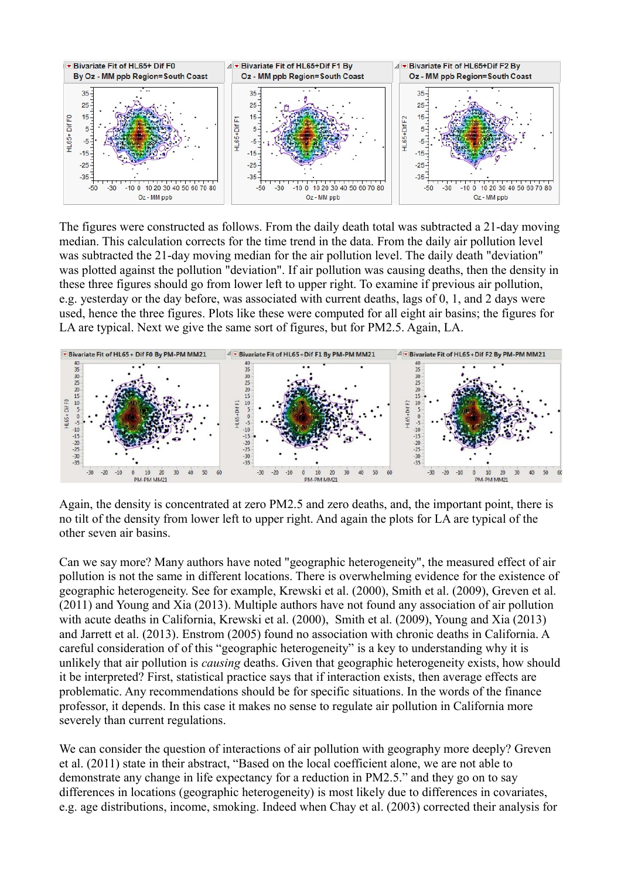

The figures were constructed as follows. From the daily death total was subtracted a 21-day moving median. This calculation corrects for the time trend in the data. From the daily air pollution level was subtracted the 21-day moving median for the air pollution level. The daily death "deviation" was plotted against the pollution "deviation". If air pollution was causing deaths, then the density in these three figures should go from lower left to upper right. To examine if previous air pollution, e.g. yesterday or the day before, was associated with current deaths, lags of 0, 1, and 2 days were used, hence the three figures. Plots like these were computed for all eight air basins; the figures for LA are typical. Next we give the same sort of figures, but for PM2.5. Again, LA.



Again, the density is concentrated at zero PM2.5 and zero deaths, and, the important point, there is no tilt of the density from lower left to upper right. And again the plots for LA are typical of the other seven air basins.

Can we say more? Many authors have noted "geographic heterogeneity", the measured effect of air pollution is not the same in different locations. There is overwhelming evidence for the existence of geographic heterogeneity. See for example, Krewski et al. (2000), Smith et al. (2009), Greven et al. (2011) and Young and Xia (2013). Multiple authors have not found any association of air pollution with acute deaths in California, Krewski et al. (2000), Smith et al. (2009), Young and Xia (2013) and Jarrett et al. (2013). Enstrom (2005) found no association with chronic deaths in California. A careful consideration of of this "geographic heterogeneity" is a key to understanding why it is unlikely that air pollution is *causing* deaths. Given that geographic heterogeneity exists, how should it be interpreted? First, statistical practice says that if interaction exists, then average effects are problematic. Any recommendations should be for specific situations. In the words of the finance professor, it depends. In this case it makes no sense to regulate air pollution in California more severely than current regulations.

We can consider the question of interactions of air pollution with geography more deeply? Greven et al. (2011) state in their abstract, "Based on the local coefficient alone, we are not able to demonstrate any change in life expectancy for a reduction in PM2.5." and they go on to say differences in locations (geographic heterogeneity) is most likely due to differences in covariates, e.g. age distributions, income, smoking. Indeed when Chay et al. (2003) corrected their analysis for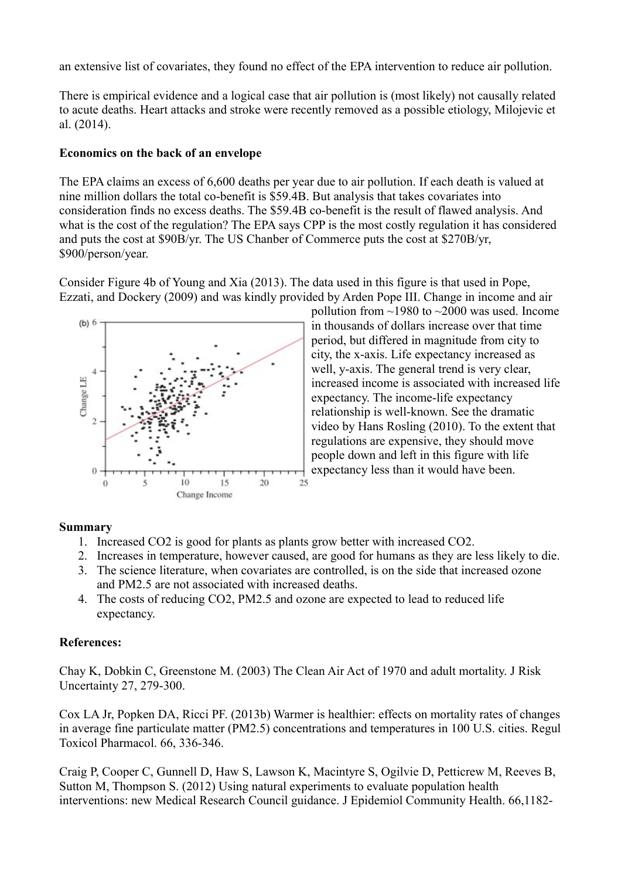an extensive list of covariates, they found no effect of the EPA intervention to reduce air pollution.

There is empirical evidence and a logical case that air pollution is (most likely) not causally related to acute deaths. Heart attacks and stroke were recently removed as a possible etiology, Milojevic et al. (2014).

## **Economics on the back of an envelope**

The EPA claims an excess of 6,600 deaths per year due to air pollution. If each death is valued at nine million dollars the total co-benefit is \$59.4B. But analysis that takes covariates into consideration finds no excess deaths. The \$59.4B co-benefit is the result of flawed analysis. And what is the cost of the regulation? The EPA says CPP is the most costly regulation it has considered and puts the cost at \$90B/yr. The US Chanber of Commerce puts the cost at \$270B/yr, \$900/person/year.

Consider Figure 4b of Young and Xia (2013). The data used in this figure is that used in Pope, Ezzati, and Dockery (2009) and was kindly provided by Arden Pope III. Change in income and air



pollution from  $\sim$ 1980 to  $\sim$ 2000 was used. Income in thousands of dollars increase over that time period, but differed in magnitude from city to city, the x-axis. Life expectancy increased as well, y-axis. The general trend is very clear, increased income is associated with increased life expectancy. The income-life expectancy relationship is well-known. See the dramatic video by Hans Rosling (2010). To the extent that regulations are expensive, they should move people down and left in this figure with life expectancy less than it would have been.

# **Summary**

- 1. Increased CO2 is good for plants as plants grow better with increased CO2.
- 2. Increases in temperature, however caused, are good for humans as they are less likely to die.
- 3. The science literature, when covariates are controlled, is on the side that increased ozone and PM2.5 are not associated with increased deaths.
- 4. The costs of reducing CO2, PM2.5 and ozone are expected to lead to reduced life expectancy.

# **References:**

Chay K, Dobkin C, Greenstone M. (2003) The Clean Air Act of 1970 and adult mortality. J Risk Uncertainty 27, 279-300.

Cox LA Jr, Popken DA, Ricci PF. (2013b) Warmer is healthier: effects on mortality rates of changes in average fine particulate matter (PM2.5) concentrations and temperatures in 100 U.S. cities. Regul Toxicol Pharmacol. 66, 336-346.

Craig P, Cooper C, Gunnell D, Haw S, Lawson K, Macintyre S, Ogilvie D, Petticrew M, Reeves B, Sutton M, Thompson S. (2012) Using natural experiments to evaluate population health interventions: new Medical Research Council guidance. J Epidemiol Community Health. 66,1182